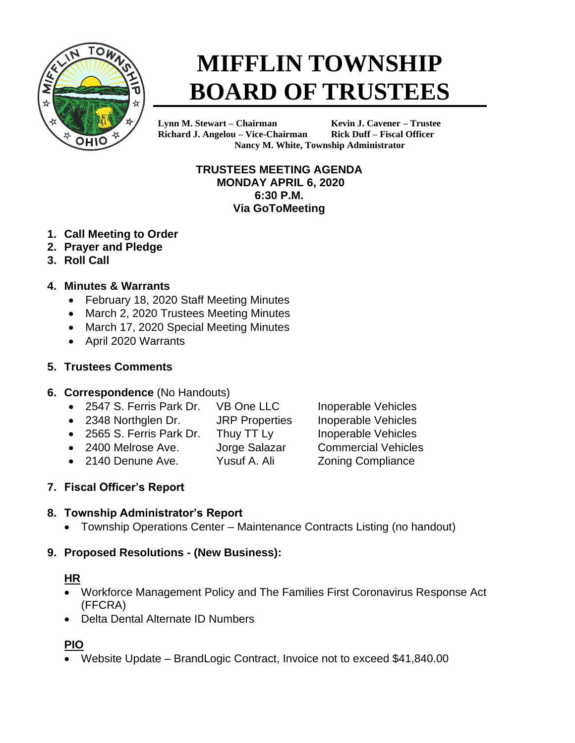

# **MIFFLIN TOWNSHIP BOARD OF TRUSTEES**

**Lynn M. Stewart – Chairman Kevin J. Cavener – Trustee Richard J. Angelou – Vice-Chairman Rick Duff – Fiscal Officer Nancy M. White, Township Administrator**

> **TRUSTEES MEETING AGENDA MONDAY APRIL 6, 2020 6:30 P.M. Via GoToMeeting**

- **1. Call Meeting to Order**
- **2. Prayer and Pledge**
- **3. Roll Call**
- **4. Minutes & Warrants**
	- February 18, 2020 Staff Meeting Minutes
	- March 2, 2020 Trustees Meeting Minutes
	- March 17, 2020 Special Meeting Minutes
	- April 2020 Warrants

## **5. Trustees Comments**

#### **6. Correspondence** (No Handouts)

- 2547 S. Ferris Park Dr. VB One LLC Inoperable Vehicles
- 2348 Northglen Dr. JRP Properties Inoperable Vehicles
- 2565 S. Ferris Park Dr. Thuy TT Ly Inoperable Vehicles
- 2400 Melrose Ave. Jorge Salazar Commercial Vehicles
- 2140 Denune Ave. Yusuf A. Ali Zoning Compliance
- 

# **7. Fiscal Officer's Report**

#### **8. Township Administrator's Report**

• Township Operations Center – Maintenance Contracts Listing (no handout)

# **9. Proposed Resolutions - (New Business):**

#### **HR**

- Workforce Management Policy and The Families First Coronavirus Response Act (FFCRA)
- Delta Dental Alternate ID Numbers

# **PIO**

• Website Update – BrandLogic Contract, Invoice not to exceed \$41,840.00